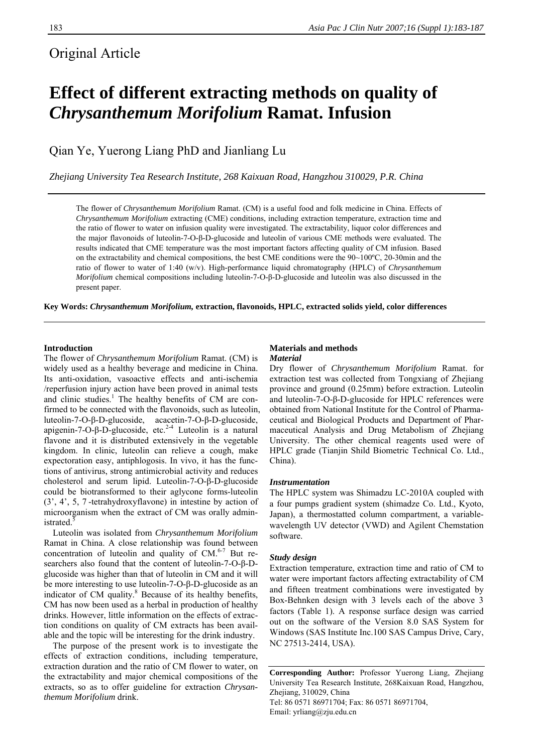# Original Article

# **Effect of different extracting methods on quality of**  *Chrysanthemum Morifolium* **Ramat. Infusion**

Qian Ye, Yuerong Liang PhD and Jianliang Lu

*Zhejiang University Tea Research Institute, 268 Kaixuan Road, Hangzhou 310029, P.R. China* 

The flower of *Chrysanthemum Morifolium* Ramat. (CM) is a useful food and folk medicine in China. Effects of *Chrysanthemum Morifolium* extracting (CME) conditions, including extraction temperature, extraction time and the ratio of flower to water on infusion quality were investigated. The extractability, liquor color differences and the major flavonoids of luteolin-7-O-β-D-glucoside and luteolin of various CME methods were evaluated. The results indicated that CME temperature was the most important factors affecting quality of CM infusion. Based on the extractability and chemical compositions, the best CME conditions were the  $90~100^{\circ}$ C, 20-30min and the ratio of flower to water of 1:40 (w/v). High-performance liquid chromatography (HPLC) of *Chrysanthemum Morifolium* chemical compositions including luteolin-7-O-β-D-glucoside and luteolin was also discussed in the present paper.

**Key Words:** *Chrysanthemum Morifolium,* **extraction, flavonoids, HPLC, extracted solids yield, color differences** 

# **Introduction**

The flower of *Chrysanthemum Morifolium* Ramat. (CM) is widely used as a healthy beverage and medicine in China. Its anti-oxidation, vasoactive effects and anti-ischemia /reperfusion injury action have been proved in animal tests and clinic studies.<sup>1</sup> The healthy benefits of CM are confirmed to be connected with the flavonoids, such as luteolin, luteolin-7-O-β-D-glucoside, acacetin-7-O-β-D-glucoside, apigenin-7-O-β-D-glucoside, etc.<sup>2-4</sup> Luteolin is a natural flavone and it is distributed extensively in the vegetable kingdom. In clinic, luteolin can relieve a cough, make expectoration easy, antiphlogosis. In vivo, it has the functions of antivirus, strong antimicrobial activity and reduces cholesterol and serum lipid. Luteolin-7-O-β-D-glucoside could be biotransformed to their aglycone forms-luteolin (3', 4', 5, 7 -tetrahydroxyflavone) in intestine by action of microorganism when the extract of CM was orally administrated.<sup>5</sup>

 Luteolin was isolated from *Chrysanthemum Morifolium* Ramat in China. A close relationship was found between concentration of luteolin and quality of  $CM<sup>6-7</sup>$  But researchers also found that the content of luteolin-7-O-β-Dglucoside was higher than that of luteolin in CM and it will be more interesting to use luteolin-7-O-β-D-glucoside as an indicator of CM quality.<sup>8</sup> Because of its healthy benefits, CM has now been used as a herbal in production of healthy drinks. However, little information on the effects of extraction conditions on quality of CM extracts has been available and the topic will be interesting for the drink industry.

 The purpose of the present work is to investigate the effects of extraction conditions, including temperature, extraction duration and the ratio of CM flower to water, on the extractability and major chemical compositions of the extracts, so as to offer guideline for extraction *Chrysanthemum Morifolium* drink.

### **Materials and methods**  *Material*

Dry flower of *Chrysanthemum Morifolium* Ramat. for extraction test was collected from Tongxiang of Zhejiang province and ground (0.25mm) before extraction. Luteolin and luteolin-7-O-β-D-glucoside for HPLC references were obtained from National Institute for the Control of Pharmaceutical and Biological Products and Department of Pharmaceutical Analysis and Drug Metabolism of Zhejiang University. The other chemical reagents used were of HPLC grade (Tianjin Shild Biometric Technical Co. Ltd., China).

#### *Instrumentation*

The HPLC system was Shimadzu LC-2010A coupled with a four pumps gradient system (shimadze Co. Ltd., Kyoto, Japan), a thermostatted column compartment, a variablewavelength UV detector (VWD) and Agilent Chemstation software.

#### *Study design*

Extraction temperature, extraction time and ratio of CM to water were important factors affecting extractability of CM and fifteen treatment combinations were investigated by Box-Behnken design with 3 levels each of the above 3 factors (Table 1). A response surface design was carried out on the software of the Version 8.0 SAS System for Windows (SAS Institute Inc.100 SAS Campus Drive, Cary, NC 27513-2414, USA).

**Corresponding Author:** Professor Yuerong Liang, Zhejiang University Tea Research Institute, 268Kaixuan Road, Hangzhou, Zhejiang, 310029, China Tel: 86 0571 86971704; Fax: 86 0571 86971704, Email: yrliang@zju.edu.cn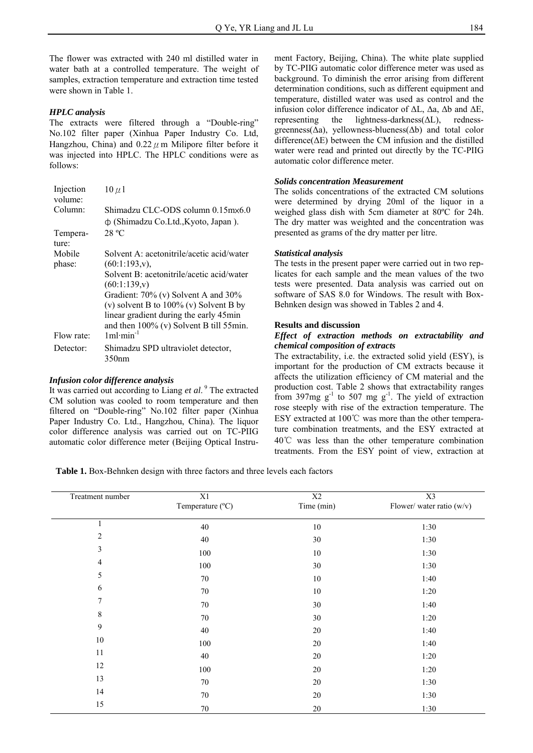The flower was extracted with 240 ml distilled water in water bath at a controlled temperature. The weight of samples, extraction temperature and extraction time tested were shown in Table 1.

# *HPLC analysis*

The extracts were filtered through a "Double-ring" No.102 filter paper (Xinhua Paper Industry Co. Ltd, Hangzhou, China) and  $0.22 \mu$  m Milipore filter before it was injected into HPLC. The HPLC conditions were as follows:

| Injection<br>volume: | $10 \mu 1$                                                                                                                 |
|----------------------|----------------------------------------------------------------------------------------------------------------------------|
| Column:              | Shimadzu CLC-ODS column 0.15m×6.0<br>ф (Shimadzu Co.Ltd., Kyoto, Japan).                                                   |
| Tempera-<br>ture:    | 28 °C                                                                                                                      |
| Mobile<br>phase:     | Solvent A: acetonitrile/acetic acid/water<br>$(60:1:193,v)$ ,                                                              |
|                      | Solvent B: acetonitrile/acetic acid/water<br>(60:1:139,v)                                                                  |
|                      | Gradient: 70% (v) Solvent A and 30%<br>(v) solvent B to $100\%$ (v) Solvent B by<br>linear gradient during the early 45min |
| Flow rate:           | and then $100\%$ (v) Solvent B till 55min.<br>$1m1·min^{-1}$                                                               |
| Detector:            | Shimadzu SPD ultraviolet detector,<br>350nm                                                                                |

# *Infusion color difference analysis*

It was carried out according to Liang et al.<sup>9</sup> The extracted CM solution was cooled to room temperature and then filtered on "Double-ring" No.102 filter paper (Xinhua Paper Industry Co. Ltd., Hangzhou, China). The liquor color difference analysis was carried out on TC-PIIG automatic color difference meter (Beijing Optical Instrument Factory, Beijing, China). The white plate supplied by TC-PIIG automatic color difference meter was used as background. To diminish the error arising from different determination conditions, such as different equipment and temperature, distilled water was used as control and the infusion color difference indicator of ΔL, Δa, Δb and ΔE, representing the lightness-darkness( $\Delta L$ ), rednessgreenness( $\Delta a$ ), yellowness-blueness( $\Delta b$ ) and total color difference( $\Delta E$ ) between the CM infusion and the distilled water were read and printed out directly by the TC-PIIG automatic color difference meter.

# *Solids concentration Measurement*

The solids concentrations of the extracted CM solutions were determined by drying 20ml of the liquor in a weighed glass dish with 5cm diameter at 80ºC for 24h. The dry matter was weighted and the concentration was presented as grams of the dry matter per litre.

## *Statistical analysis*

The tests in the present paper were carried out in two replicates for each sample and the mean values of the two tests were presented. Data analysis was carried out on software of SAS 8.0 for Windows. The result with Box-Behnken design was showed in Tables 2 and 4.

#### **Results and discussion**

## *Effect of extraction methods on extractability and chemical composition of extracts*

The extractability, i.e. the extracted solid yield (ESY), is important for the production of CM extracts because it affects the utilization efficiency of CM material and the production cost. Table 2 shows that extractability ranges from 397mg  $g^{-1}$  to 507 mg  $g^{-1}$ . The yield of extraction rose steeply with rise of the extraction temperature. The ESY extracted at 100℃ was more than the other temperature combination treatments, and the ESY extracted at 40℃ was less than the other temperature combination treatments. From the ESY point of view, extraction at

**Table 1.** Box-Behnken design with three factors and three levels each factors

| Treatment number | X1<br>Temperature (°C) | X2<br>Time (min) | X3<br>Flower/water ratio (w/v) |  |
|------------------|------------------------|------------------|--------------------------------|--|
| $\mathbf{1}$     | 40                     | $10\,$           | 1:30                           |  |
| $\sqrt{2}$       | $40\,$                 | $30\,$           | 1:30                           |  |
| $\mathfrak{Z}$   | 100                    | $10\,$           | 1:30                           |  |
| $\overline{4}$   | 100                    | 30               | 1:30                           |  |
| 5                | $70\,$                 | $10\,$           | 1:40                           |  |
| 6                | 70                     | $10\,$           | 1:20                           |  |
| $\tau$           | 70                     | $30\,$           | 1:40                           |  |
| $\,$ 8 $\,$      | 70                     | $30\,$           | 1:20                           |  |
| $\mathfrak{g}$   | $40\,$                 | $20\,$           | 1:40                           |  |
| $10\,$           | 100                    | $20\,$           | 1:40                           |  |
| 11               | 40                     | $20\,$           | 1:20                           |  |
| 12               | 100                    | $20\,$           | 1:20                           |  |
| 13               | 70                     | $20\,$           | 1:30                           |  |
| 14               | 70                     | $20\,$           | 1:30                           |  |
| 15               | $70\,$                 | $20\,$           | 1:30                           |  |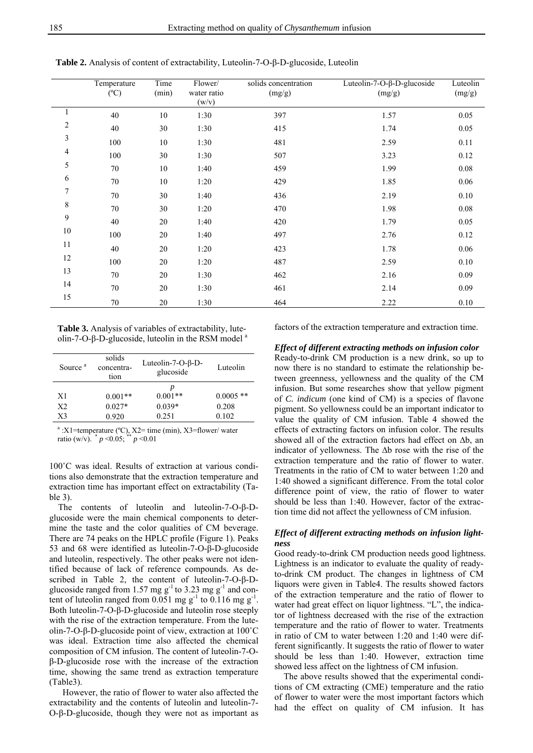|                | Temperature<br>$(^{\circ}C)$ | Time<br>(min) | Flower/<br>water ratio<br>(w/v) | solids concentration<br>(mg/g) | Luteolin-7-O- $\beta$ -D-glucoside<br>(mg/g) | Luteolin<br>(mg/g) |
|----------------|------------------------------|---------------|---------------------------------|--------------------------------|----------------------------------------------|--------------------|
| $\mathbf{1}$   | 40                           | $10\,$        | 1:30                            | 397                            | 1.57                                         | 0.05               |
| $\overline{c}$ | 40                           | 30            | 1:30                            | 415                            | 1.74                                         | 0.05               |
| 3              | 100                          | 10            | 1:30                            | 481                            | 2.59                                         | 0.11               |
| 4              | 100                          | 30            | 1:30                            | 507                            | 3.23                                         | 0.12               |
| 5              | 70                           | 10            | 1:40                            | 459                            | 1.99                                         | $0.08\,$           |
| 6              | 70                           | 10            | 1:20                            | 429                            | 1.85                                         | 0.06               |
| $\sqrt{ }$     | 70                           | 30            | 1:40                            | 436                            | 2.19                                         | 0.10               |
| 8              | 70                           | 30            | 1:20                            | 470                            | 1.98                                         | $0.08\,$           |
| 9              | 40                           | 20            | 1:40                            | 420                            | 1.79                                         | 0.05               |
| $10\,$         | 100                          | 20            | 1:40                            | 497                            | 2.76                                         | 0.12               |
| 11             | 40                           | $20\,$        | 1:20                            | 423                            | 1.78                                         | 0.06               |
| 12             | 100                          | 20            | 1:20                            | 487                            | 2.59                                         | 0.10               |
| 13             | 70                           | 20            | 1:30                            | 462                            | 2.16                                         | 0.09               |
| 14             | 70                           | 20            | 1:30                            | 461                            | 2.14                                         | $0.09\,$           |
| 15             | 70                           | 20            | 1:30                            | 464                            | 2.22                                         | 0.10               |

**Table 2.** Analysis of content of extractability, Luteolin-7-O-β-D-glucoside, Luteolin

**Table 3.** Analysis of variables of extractability, luteolin-7-O-β-D-glucoside, luteolin in the RSM model<sup>a</sup>

| Source <sup>a</sup> | solids<br>concentra-<br>tion | Luteolin-7-O- $\beta$ -D-<br>glucoside | Luteolin    |
|---------------------|------------------------------|----------------------------------------|-------------|
|                     |                              | p                                      |             |
| X1                  | $0.001**$                    | $0.001**$                              | $0.0005$ ** |
| X <sub>2</sub>      | $0.027*$                     | $0.039*$                               | 0.208       |
| X <sub>3</sub>      | 0.920                        | 0.251                                  | 0.102       |

 $a$ : X1=temperature (°C), X2= time (min), X3=flower/ water ratio (w/v).  $p \le 0.05$ ;  $p \le 0.01$ 

100˚C was ideal. Results of extraction at various conditions also demonstrate that the extraction temperature and extraction time has important effect on extractability (Table 3).

 The contents of luteolin and luteolin-7-O-β-Dglucoside were the main chemical components to determine the taste and the color qualities of CM beverage. There are 74 peaks on the HPLC profile (Figure 1). Peaks 53 and 68 were identified as luteolin-7-O-β-D-glucoside and luteolin, respectively. The other peaks were not identified because of lack of reference compounds. As described in Table 2, the content of luteolin-7-O-β-Dglucoside ranged from 1.57 mg  $g^{-1}$  to 3.23 mg  $g^{-1}$  and content of luteolin ranged from 0.051 mg  $g^{-1}$  to 0.116 mg  $g^{-1}$ . Both luteolin-7-O-β-D-glucoside and luteolin rose steeply with the rise of the extraction temperature. From the luteolin-7-O-β-D-glucoside point of view, extraction at 100˚C was ideal. Extraction time also affected the chemical composition of CM infusion. The content of luteolin-7-Oβ-D-glucoside rose with the increase of the extraction time, showing the same trend as extraction temperature (Table3).

 However, the ratio of flower to water also affected the extractability and the contents of luteolin and luteolin-7- O-β-D-glucoside, though they were not as important as factors of the extraction temperature and extraction time.

*Effect of different extracting methods on infusion color* 

Ready-to-drink CM production is a new drink, so up to now there is no standard to estimate the relationship between greenness, yellowness and the quality of the CM infusion. But some researches show that yellow pigment of *C. indicum* (one kind of CM) is a species of flavone pigment. So yellowness could be an important indicator to value the quality of CM infusion. Table 4 showed the effects of extracting factors on infusion color. The results showed all of the extraction factors had effect on ∆b, an indicator of yellowness. The ∆b rose with the rise of the extraction temperature and the ratio of flower to water. Treatments in the ratio of CM to water between 1:20 and 1:40 showed a significant difference. From the total color difference point of view, the ratio of flower to water should be less than 1:40. However, factor of the extraction time did not affect the yellowness of CM infusion.

# *Effect of different extracting methods on infusion lightness*

Good ready-to-drink CM production needs good lightness. Lightness is an indicator to evaluate the quality of readyto-drink CM product. The changes in lightness of CM liquors were given in Table4. The results showed factors of the extraction temperature and the ratio of flower to water had great effect on liquor lightness. "L", the indicator of lightness decreased with the rise of the extraction temperature and the ratio of flower to water. Treatments in ratio of CM to water between 1:20 and 1:40 were different significantly. It suggests the ratio of flower to water should be less than 1:40. However, extraction time showed less affect on the lightness of CM infusion.

 The above results showed that the experimental conditions of CM extracting (CME) temperature and the ratio of flower to water were the most important factors which had the effect on quality of CM infusion. It has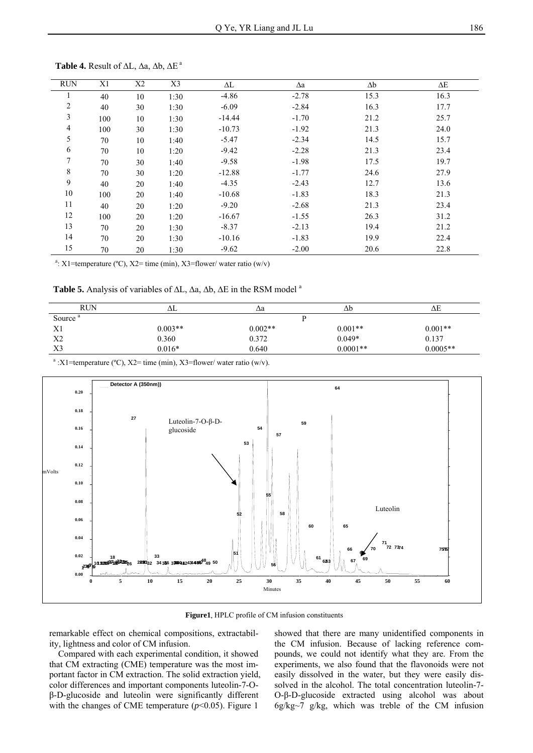| <b>RUN</b>     | X1  | X2 | X3   | ΔL       | $\Delta a$ | $\Delta b$ | $\Delta E$ |
|----------------|-----|----|------|----------|------------|------------|------------|
|                | 40  | 10 | 1:30 | $-4.86$  | $-2.78$    | 15.3       | 16.3       |
| $\overline{2}$ | 40  | 30 | 1:30 | $-6.09$  | $-2.84$    | 16.3       | 17.7       |
| 3              | 100 | 10 | 1:30 | $-14.44$ | $-1.70$    | 21.2       | 25.7       |
| $\overline{4}$ | 100 | 30 | 1:30 | $-10.73$ | $-1.92$    | 21.3       | 24.0       |
| 5              | 70  | 10 | 1:40 | $-5.47$  | $-2.34$    | 14.5       | 15.7       |
| 6              | 70  | 10 | 1:20 | $-9.42$  | $-2.28$    | 21.3       | 23.4       |
| 7              | 70  | 30 | 1:40 | $-9.58$  | $-1.98$    | 17.5       | 19.7       |
| 8              | 70  | 30 | 1:20 | $-12.88$ | $-1.77$    | 24.6       | 27.9       |
| 9              | 40  | 20 | 1:40 | $-4.35$  | $-2.43$    | 12.7       | 13.6       |
| 10             | 100 | 20 | 1:40 | $-10.68$ | $-1.83$    | 18.3       | 21.3       |
| 11             | 40  | 20 | 1:20 | $-9.20$  | $-2.68$    | 21.3       | 23.4       |
| 12             | 100 | 20 | 1:20 | $-16.67$ | $-1.55$    | 26.3       | 31.2       |
| 13             | 70  | 20 | 1:30 | $-8.37$  | $-2.13$    | 19.4       | 21.2       |
| 14             | 70  | 20 | 1:30 | $-10.16$ | $-1.83$    | 19.9       | 22.4       |
| 15             | 70  | 20 | 1:30 | $-9.62$  | $-2.00$    | 20.6       | 22.8       |

**Table 4.** Result of ∆L, ∆a, ∆b, ∆E a

<sup>a</sup>: X1=temperature (°C), X2= time (min), X3=flower/ water ratio (w/v)

Table 5. Analysis of variables of ΔL, Δa, Δb, ΔE in the RSM model <sup>a</sup>

| <b>RUN</b>          | ΔL        | Δa        | Δb         | ΔΕ         |
|---------------------|-----------|-----------|------------|------------|
| Source <sup>a</sup> |           |           |            |            |
| X1                  | $0.003**$ | $0.002**$ | $0.001**$  | $0.001**$  |
| X <sub>2</sub>      | 0.360     | 0.372     | $0.049*$   | 0.137      |
| X3                  | $0.016*$  | 0.640     | $0.0001**$ | $0.0005**$ |

<sup>a</sup>: X1=temperature (°C), X2= time (min), X3=flower/ water ratio (w/v).



**Figure1**. HPLC profile of CM infusion constituents

remarkable effect on chemical compositions, extractability, lightness and color of CM infusion.

 Compared with each experimental condition, it showed that CM extracting (CME) temperature was the most important factor in CM extraction. The solid extraction yield, color differences and important components luteolin-7-Oβ-D-glucoside and luteolin were significantly different with the changes of CME temperature  $(p<0.05)$ . Figure 1

showed that there are many unidentified components in the CM infusion. Because of lacking reference compounds, we could not identify what they are. From the experiments, we also found that the flavonoids were not easily dissolved in the water, but they were easily dissolved in the alcohol. The total concentration luteolin-7- O-β-D-glucoside extracted using alcohol was about 6g/kg~7 g/kg, which was treble of the CM infusion